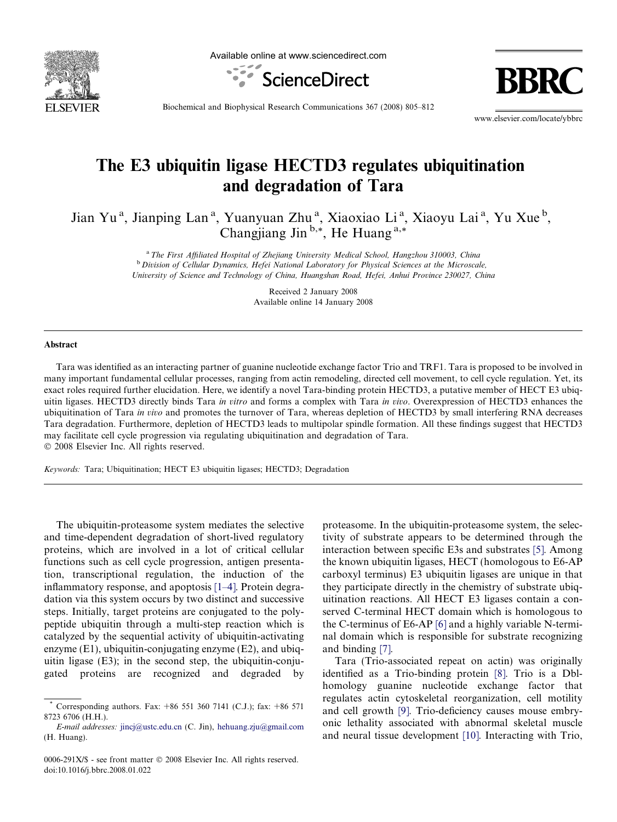

Available online at www.sciencedirect.com



Biochemical and Biophysical Research Communications 367 (2008) 805–812

www.elsevier.com/locate/ybbrc

# The E3 ubiquitin ligase HECTD3 regulates ubiquitination and degradation of Tara

Jian Yu<sup>a</sup>, Jianping Lan<sup>a</sup>, Yuanyuan Zhu<sup>a</sup>, Xiaoxiao Li<sup>a</sup>, Xiaoyu Lai<sup>a</sup>, Yu Xue<sup>b</sup>, Changjiang Jin<sup>b,\*</sup>, He Huang<sup>a,\*</sup>

> <sup>a</sup> The First Affiliated Hospital of Zhejiang University Medical School, Hangzhou 310003, China <sup>b</sup> Division of Cellular Dynamics, Hefei National Laboratory for Physical Sciences at the Microscale, University of Science and Technology of China, Huangshan Road, Hefei, Anhui Province 230027, China

> > Received 2 January 2008 Available online 14 January 2008

## Abstract

Tara was identified as an interacting partner of guanine nucleotide exchange factor Trio and TRF1. Tara is proposed to be involved in many important fundamental cellular processes, ranging from actin remodeling, directed cell movement, to cell cycle regulation. Yet, its exact roles required further elucidation. Here, we identify a novel Tara-binding protein HECTD3, a putative member of HECT E3 ubiquitin ligases. HECTD3 directly binds Tara in vitro and forms a complex with Tara in vivo. Overexpression of HECTD3 enhances the ubiquitination of Tara in vivo and promotes the turnover of Tara, whereas depletion of HECTD3 by small interfering RNA decreases Tara degradation. Furthermore, depletion of HECTD3 leads to multipolar spindle formation. All these findings suggest that HECTD3 may facilitate cell cycle progression via regulating ubiquitination and degradation of Tara.  $© 2008$  Elsevier Inc. All rights reserved.

Keywords: Tara; Ubiquitination; HECT E3 ubiquitin ligases; HECTD3; Degradation

The ubiquitin-proteasome system mediates the selective and time-dependent degradation of short-lived regulatory proteins, which are involved in a lot of critical cellular functions such as cell cycle progression, antigen presentation, transcriptional regulation, the induction of the inflammatory response, and apoptosis [\[1–4\]](#page-6-0). Protein degradation via this system occurs by two distinct and successive steps. Initially, target proteins are conjugated to the polypeptide ubiquitin through a multi-step reaction which is catalyzed by the sequential activity of ubiquitin-activating enzyme (E1), ubiquitin-conjugating enzyme (E2), and ubiquitin ligase (E3); in the second step, the ubiquitin-conjugated proteins are recognized and degraded by proteasome. In the ubiquitin-proteasome system, the selectivity of substrate appears to be determined through the interaction between specific E3s and substrates [\[5\].](#page-6-0) Among the known ubiquitin ligases, HECT (homologous to E6-AP carboxyl terminus) E3 ubiquitin ligases are unique in that they participate directly in the chemistry of substrate ubiquitination reactions. All HECT E3 ligases contain a conserved C-terminal HECT domain which is homologous to the C-terminus of E6-AP [\[6\]](#page-6-0) and a highly variable N-terminal domain which is responsible for substrate recognizing and binding [\[7\]](#page-6-0).

Tara (Trio-associated repeat on actin) was originally identified as a Trio-binding protein [\[8\].](#page-6-0) Trio is a Dblhomology guanine nucleotide exchange factor that regulates actin cytoskeletal reorganization, cell motility and cell growth [\[9\].](#page-6-0) Trio-deficiency causes mouse embryonic lethality associated with abnormal skeletal muscle and neural tissue development [\[10\]](#page-6-0). Interacting with Trio,

<sup>\*</sup> Corresponding authors. Fax: +86 551 360 7141 (C.J.); fax: +86 571 8723 6706 (H.H.).

E-mail addresses: [jincj@ustc.edu.cn](mailto:jincj@ustc.edu.cn) (C. Jin), [hehuang.zju@gmail.com](mailto:hehuang.zju@gmail.com) (H. Huang).

<sup>0006-291</sup>X/\$ - see front matter © 2008 Elsevier Inc. All rights reserved. doi:10.1016/j.bbrc.2008.01.022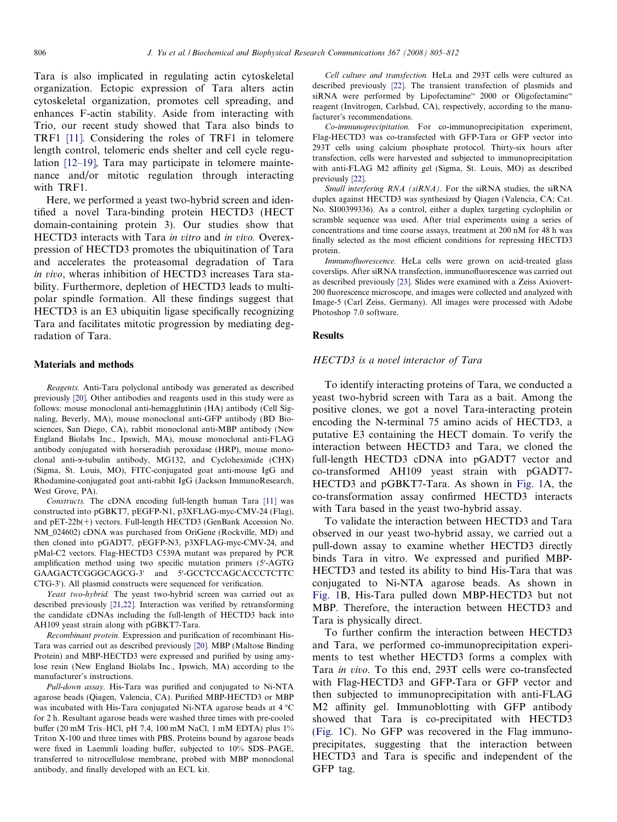Tara is also implicated in regulating actin cytoskeletal organization. Ectopic expression of Tara alters actin cytoskeletal organization, promotes cell spreading, and enhances F-actin stability. Aside from interacting with Trio, our recent study showed that Tara also binds to TRF1 [\[11\]](#page-6-0). Considering the roles of TRF1 in telomere length control, telomeric ends shelter and cell cycle regulation [\[12–19\]](#page-6-0), Tara may participate in telomere maintenance and/or mitotic regulation through interacting with TRF1.

Here, we performed a yeast two-hybrid screen and identified a novel Tara-binding protein HECTD3 (HECT domain-containing protein 3). Our studies show that HECTD3 interacts with Tara in vitro and in vivo. Overexpression of HECTD3 promotes the ubiquitination of Tara and accelerates the proteasomal degradation of Tara in vivo, wheras inhibition of HECTD3 increases Tara stability. Furthermore, depletion of HECTD3 leads to multipolar spindle formation. All these findings suggest that HECTD3 is an E3 ubiquitin ligase specifically recognizing Tara and facilitates mitotic progression by mediating degradation of Tara.

## Materials and methods

Reagents. Anti-Tara polyclonal antibody was generated as described previously [\[20\].](#page-6-0) Other antibodies and reagents used in this study were as follows: mouse monoclonal anti-hemagglutinin (HA) antibody (Cell Signaling, Beverly, MA), mouse monoclonal anti-GFP antibody (BD Biosciences, San Diego, CA), rabbit monoclonal anti-MBP antibody (New England Biolabs Inc., Ipswich, MA), mouse monoclonal anti-FLAG antibody conjugated with horseradish peroxidase (HRP), mouse monoclonal anti-a-tubulin antibody, MG132, and Cycloheximide (CHX) (Sigma, St. Louis, MO), FITC-conjugated goat anti-mouse IgG and Rhodamine-conjugated goat anti-rabbit IgG (Jackson ImmunoResearch, West Grove, PA).

Constructs. The cDNA encoding full-length human Tara [\[11\]](#page-6-0) was constructed into pGBKT7, pEGFP-N1, p3XFLAG-myc-CMV-24 (Flag), and pET-22b(+) vectors. Full-length HECTD3 (GenBank Accession No. NM\_024602) cDNA was purchased from OriGene (Rockville, MD) and then cloned into pGADT7, pEGFP-N3, p3XFLAG-myc-CMV-24, and pMal-C2 vectors. Flag-HECTD3 C539A mutant was prepared by PCR amplification method using two specific mutation primers (5'-AGTG GAAGACTCGGGCAGCG-3' and 5'-GCCTCCAGCACCCTCTTC CTG-3'). All plasmid constructs were sequenced for verification.

Yeast two-hybrid. The yeast two-hybrid screen was carried out as described previously [\[21,22\]](#page-6-0). Interaction was verified by retransforming the candidate cDNAs including the full-length of HECTD3 back into AH109 yeast strain along with pGBKT7-Tara.

Recombinant protein. Expression and purification of recombinant His-Tara was carried out as described previously [\[20\].](#page-6-0) MBP (Maltose Binding Protein) and MBP-HECTD3 were expressed and purified by using amylose resin (New England Biolabs Inc., Ipswich, MA) according to the manufacturer's instructions.

Pull-down assay. His-Tara was purified and conjugated to Ni-NTA agarose beads (Qiagen, Valencia, CA). Purified MBP-HECTD3 or MBP was incubated with His-Tara conjugated Ni-NTA agarose beads at 4 °C for 2 h. Resultant agarose beads were washed three times with pre-cooled buffer (20 mM Tris–HCl, pH 7.4, 100 mM NaCl, 1 mM EDTA) plus 1% Triton X-100 and three times with PBS. Proteins bound by agarose beads were fixed in Laemmli loading buffer, subjected to 10% SDS–PAGE, transferred to nitrocellulose membrane, probed with MBP monoclonal antibody, and finally developed with an ECL kit.

Cell culture and transfection. HeLa and 293T cells were cultured as described previously [\[22\]](#page-6-0). The transient transfection of plasmids and siRNA were performed by Lipofectamine<sup> $M$ </sup> 2000 or Oligofectamine<sup> $M$ </sup> reagent (Invitrogen, Carlsbad, CA), respectively, according to the manufacturer's recommendations.

Co-immunoprecipitation. For co-immunoprecipitation experiment, Flag-HECTD3 was co-transfected with GFP-Tara or GFP vector into 293T cells using calcium phosphate protocol. Thirty-six hours after transfection, cells were harvested and subjected to immunoprecipitation with anti-FLAG M2 affinity gel (Sigma, St. Louis, MO) as described previously [\[22\].](#page-6-0)

Small interfering RNA (siRNA). For the siRNA studies, the siRNA duplex against HECTD3 was synthesized by Qiagen (Valencia, CA; Cat. No. SI00399336). As a control, either a duplex targeting cyclophilin or scramble sequence was used. After trial experiments using a series of concentrations and time course assays, treatment at 200 nM for 48 h was finally selected as the most efficient conditions for repressing HECTD3 protein.

Immunofluorescence. HeLa cells were grown on acid-treated glass coverslips. After siRNA transfection, immunofluorescence was carried out as described previously [\[23\].](#page-6-0) Slides were examined with a Zeiss Axiovert-200 fluorescence microscope, and images were collected and analyzed with Image-5 (Carl Zeiss, Germany). All images were processed with Adobe Photoshop 7.0 software.

#### Results

## HECTD3 is a novel interactor of Tara

To identify interacting proteins of Tara, we conducted a yeast two-hybrid screen with Tara as a bait. Among the positive clones, we got a novel Tara-interacting protein encoding the N-terminal 75 amino acids of HECTD3, a putative E3 containing the HECT domain. To verify the interaction between HECTD3 and Tara, we cloned the full-length HECTD3 cDNA into pGADT7 vector and co-transformed AH109 yeast strain with pGADT7- HECTD3 and pGBKT7-Tara. As shown in [Fig. 1A](#page-2-0), the co-transformation assay confirmed HECTD3 interacts with Tara based in the yeast two-hybrid assay.

To validate the interaction between HECTD3 and Tara observed in our yeast two-hybrid assay, we carried out a pull-down assay to examine whether HECTD3 directly binds Tara in vitro. We expressed and purified MBP-HECTD3 and tested its ability to bind His-Tara that was conjugated to Ni-NTA agarose beads. As shown in [Fig. 1B](#page-2-0), His-Tara pulled down MBP-HECTD3 but not MBP. Therefore, the interaction between HECTD3 and Tara is physically direct.

To further confirm the interaction between HECTD3 and Tara, we performed co-immunoprecipitation experiments to test whether HECTD3 forms a complex with Tara in vivo. To this end, 293T cells were co-transfected with Flag-HECTD3 and GFP-Tara or GFP vector and then subjected to immunoprecipitation with anti-FLAG M2 affinity gel. Immunoblotting with GFP antibody showed that Tara is co-precipitated with HECTD3 [\(Fig. 1C](#page-2-0)). No GFP was recovered in the Flag immunoprecipitates, suggesting that the interaction between HECTD3 and Tara is specific and independent of the GFP tag.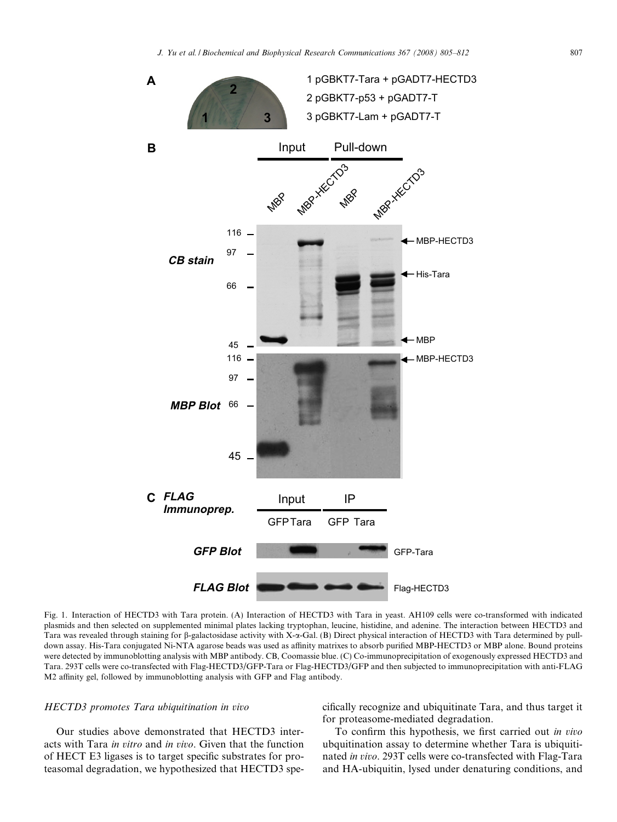<span id="page-2-0"></span>

Fig. 1. Interaction of HECTD3 with Tara protein. (A) Interaction of HECTD3 with Tara in yeast. AH109 cells were co-transformed with indicated plasmids and then selected on supplemented minimal plates lacking tryptophan, leucine, histidine, and adenine. The interaction between HECTD3 and Tara was revealed through staining for  $\beta$ -galactosidase activity with X-a-Gal. (B) Direct physical interaction of HECTD3 with Tara determined by pulldown assay. His-Tara conjugated Ni-NTA agarose beads was used as affinity matrixes to absorb purified MBP-HECTD3 or MBP alone. Bound proteins were detected by immunoblotting analysis with MBP antibody. CB, Coomassie blue. (C) Co-immunoprecipitation of exogenously expressed HECTD3 and Tara. 293T cells were co-transfected with Flag-HECTD3/GFP-Tara or Flag-HECTD3/GFP and then subjected to immunoprecipitation with anti-FLAG M2 affinity gel, followed by immunoblotting analysis with GFP and Flag antibody.

# HECTD3 promotes Tara ubiquitination in vivo

Our studies above demonstrated that HECTD3 interacts with Tara in vitro and in vivo. Given that the function of HECT E3 ligases is to target specific substrates for proteasomal degradation, we hypothesized that HECTD3 specifically recognize and ubiquitinate Tara, and thus target it for proteasome-mediated degradation.

To confirm this hypothesis, we first carried out in vivo ubquitination assay to determine whether Tara is ubiquitinated in vivo. 293T cells were co-transfected with Flag-Tara and HA-ubiquitin, lysed under denaturing conditions, and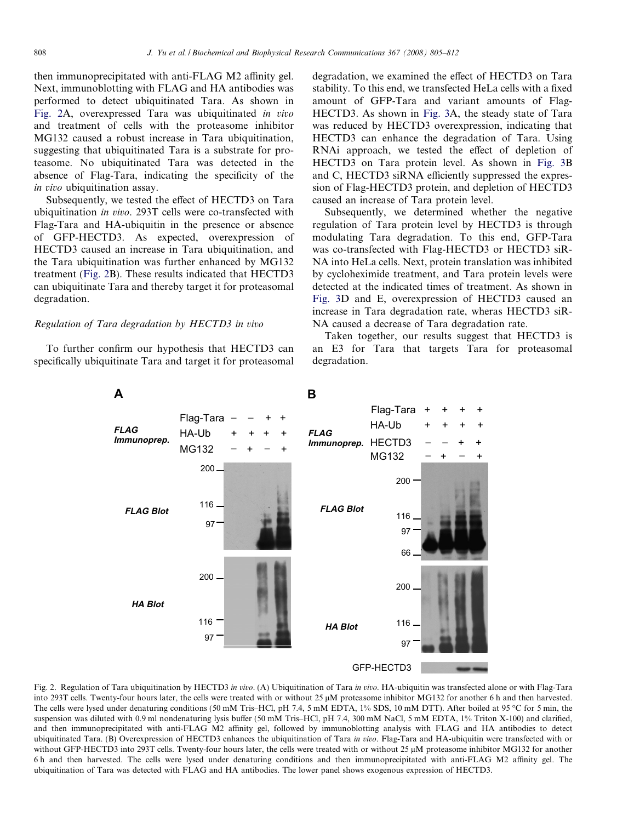then immunoprecipitated with anti-FLAG M2 affinity gel. Next, immunoblotting with FLAG and HA antibodies was performed to detect ubiquitinated Tara. As shown in Fig. 2A, overexpressed Tara was ubiquitinated in vivo and treatment of cells with the proteasome inhibitor MG132 caused a robust increase in Tara ubiquitination, suggesting that ubiquitinated Tara is a substrate for proteasome. No ubiquitinated Tara was detected in the absence of Flag-Tara, indicating the specificity of the in vivo ubiquitination assay.

Subsequently, we tested the effect of HECTD3 on Tara ubiquitination in vivo. 293T cells were co-transfected with Flag-Tara and HA-ubiquitin in the presence or absence of GFP-HECTD3. As expected, overexpression of HECTD3 caused an increase in Tara ubiquitination, and the Tara ubiquitination was further enhanced by MG132 treatment (Fig. 2B). These results indicated that HECTD3 can ubiquitinate Tara and thereby target it for proteasomal degradation.

## Regulation of Tara degradation by HECTD3 in vivo

To further confirm our hypothesis that HECTD3 can specifically ubiquitinate Tara and target it for proteasomal degradation, we examined the effect of HECTD3 on Tara stability. To this end, we transfected HeLa cells with a fixed amount of GFP-Tara and variant amounts of Flag-HECTD3. As shown in [Fig. 3](#page-4-0)A, the steady state of Tara was reduced by HECTD3 overexpression, indicating that HECTD3 can enhance the degradation of Tara. Using RNAi approach, we tested the effect of depletion of HECTD3 on Tara protein level. As shown in [Fig. 3](#page-4-0)B and C, HECTD3 siRNA efficiently suppressed the expression of Flag-HECTD3 protein, and depletion of HECTD3 caused an increase of Tara protein level.

Subsequently, we determined whether the negative regulation of Tara protein level by HECTD3 is through modulating Tara degradation. To this end, GFP-Tara was co-transfected with Flag-HECTD3 or HECTD3 siR-NA into HeLa cells. Next, protein translation was inhibited by cycloheximide treatment, and Tara protein levels were detected at the indicated times of treatment. As shown in [Fig. 3](#page-4-0)D and E, overexpression of HECTD3 caused an increase in Tara degradation rate, wheras HECTD3 siR-NA caused a decrease of Tara degradation rate.

Taken together, our results suggest that HECTD3 is an E3 for Tara that targets Tara for proteasomal degradation.



Fig. 2. Regulation of Tara ubiquitination by HECTD3 in vivo. (A) Ubiquitination of Tara in vivo. HA-ubiquitin was transfected alone or with Flag-Tara into 293T cells. Twenty-four hours later, the cells were treated with or without 25  $\mu$ M proteasome inhibitor MG132 for another 6 h and then harvested. The cells were lysed under denaturing conditions (50 mM Tris–HCl, pH 7.4, 5 mM EDTA, 1% SDS, 10 mM DTT). After boiled at 95 °C for 5 min, the suspension was diluted with 0.9 ml nondenaturing lysis buffer (50 mM Tris–HCl, pH 7.4, 300 mM NaCl, 5 mM EDTA, 1% Triton X-100) and clarified, and then immunoprecipitated with anti-FLAG M2 affinity gel, followed by immunoblotting analysis with FLAG and HA antibodies to detect ubiquitinated Tara. (B) Overexpression of HECTD3 enhances the ubiquitination of Tara in vivo. Flag-Tara and HA-ubiquitin were transfected with or without GFP-HECTD3 into 293T cells. Twenty-four hours later, the cells were treated with or without 25  $\mu$ M proteasome inhibitor MG132 for another 6 h and then harvested. The cells were lysed under denaturing conditions and then immunoprecipitated with anti-FLAG M2 affinity gel. The ubiquitination of Tara was detected with FLAG and HA antibodies. The lower panel shows exogenous expression of HECTD3.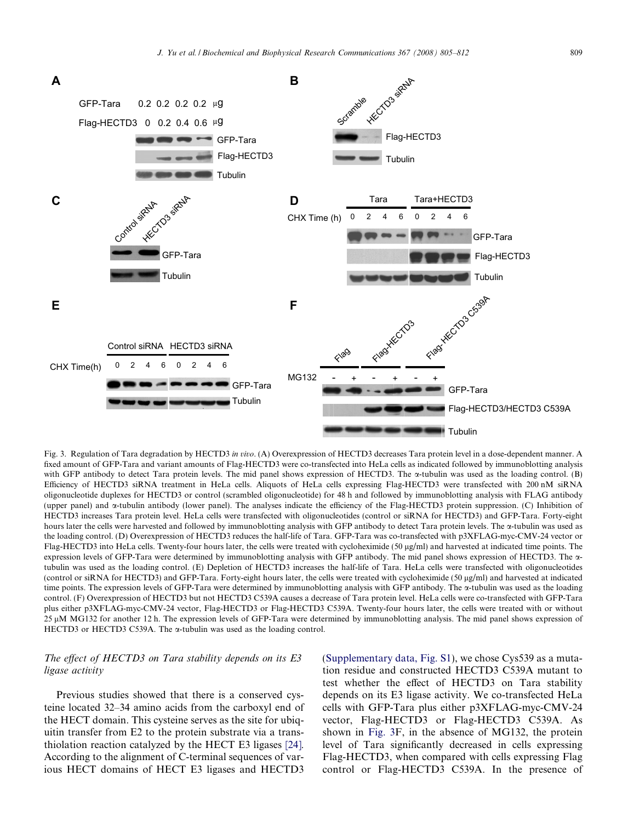<span id="page-4-0"></span>

Fig. 3. Regulation of Tara degradation by HECTD3 in vivo. (A) Overexpression of HECTD3 decreases Tara protein level in a dose-dependent manner. A fixed amount of GFP-Tara and variant amounts of Flag-HECTD3 were co-transfected into HeLa cells as indicated followed by immunoblotting analysis with GFP antibody to detect Tara protein levels. The mid panel shows expression of HECTD3. The  $\alpha$ -tubulin was used as the loading control. (B) Efficiency of HECTD3 siRNA treatment in HeLa cells. Aliquots of HeLa cells expressing Flag-HECTD3 were transfected with 200 nM siRNA oligonucleotide duplexes for HECTD3 or control (scrambled oligonucleotide) for 48 h and followed by immunoblotting analysis with FLAG antibody (upper panel) and  $\alpha$ -tubulin antibody (lower panel). The analyses indicate the efficiency of the Flag-HECTD3 protein suppression. (C) Inhibition of HECTD3 increases Tara protein level. HeLa cells were transfected with oligonucleotides (control or siRNA for HECTD3) and GFP-Tara. Forty-eight hours later the cells were harvested and followed by immunoblotting analysis with GFP antibody to detect Tara protein levels. The  $\alpha$ -tubulin was used as the loading control. (D) Overexpression of HECTD3 reduces the half-life of Tara. GFP-Tara was co-transfected with p3XFLAG-myc-CMV-24 vector or Flag-HECTD3 into HeLa cells. Twenty-four hours later, the cells were treated with cycloheximide (50 µg/ml) and harvested at indicated time points. The expression levels of GFP-Tara were determined by immunoblotting analysis with GFP antibody. The mid panel shows expression of HECTD3. The atubulin was used as the loading control. (E) Depletion of HECTD3 increases the half-life of Tara. HeLa cells were transfected with oligonucleotides (control or siRNA for HECTD3) and GFP-Tara. Forty-eight hours later, the cells were treated with cycloheximide (50 lg/ml) and harvested at indicated time points. The expression levels of GFP-Tara were determined by immunoblotting analysis with GFP antibody. The  $\alpha$ -tubulin was used as the loading control. (F) Overexpression of HECTD3 but not HECTD3 C539A causes a decrease of Tara protein level. HeLa cells were co-transfected with GFP-Tara plus either p3XFLAG-myc-CMV-24 vector, Flag-HECTD3 or Flag-HECTD3 C539A. Twenty-four hours later, the cells were treated with or without 25 µM MG132 for another 12 h. The expression levels of GFP-Tara were determined by immunoblotting analysis. The mid panel shows expression of HECTD3 or HECTD3 C539A. The  $\alpha$ -tubulin was used as the loading control.

# The effect of HECTD3 on Tara stability depends on its E3 ligase activity

Previous studies showed that there is a conserved cysteine located 32–34 amino acids from the carboxyl end of the HECT domain. This cysteine serves as the site for ubiquitin transfer from E2 to the protein substrate via a transthiolation reaction catalyzed by the HECT E3 ligases [\[24\].](#page-7-0) According to the alignment of C-terminal sequences of various HECT domains of HECT E3 ligases and HECTD3

(Supplementary data, Fig. S1), we chose Cys539 as a mutation residue and constructed HECTD3 C539A mutant to test whether the effect of HECTD3 on Tara stability depends on its E3 ligase activity. We co-transfected HeLa cells with GFP-Tara plus either p3XFLAG-myc-CMV-24 vector, Flag-HECTD3 or Flag-HECTD3 C539A. As shown in Fig. 3F, in the absence of MG132, the protein level of Tara significantly decreased in cells expressing Flag-HECTD3, when compared with cells expressing Flag control or Flag-HECTD3 C539A. In the presence of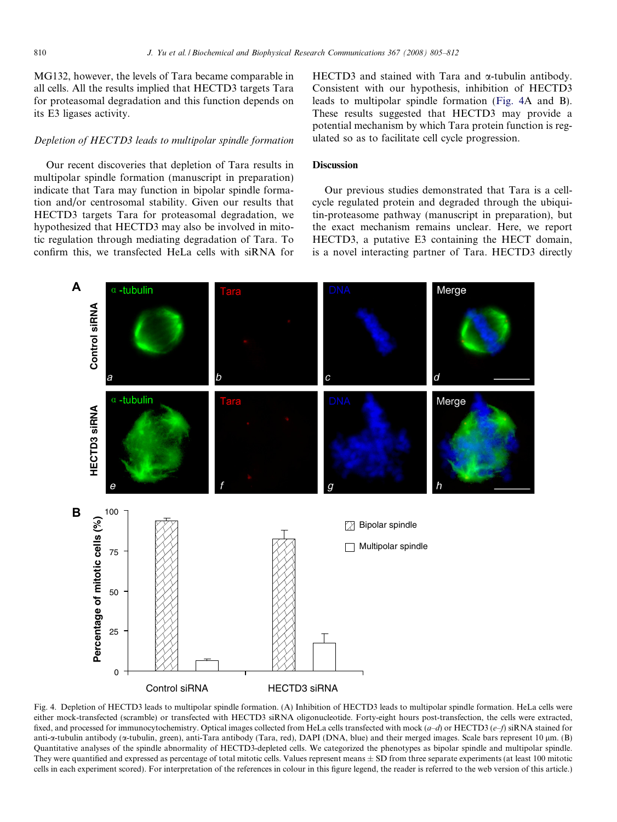MG132, however, the levels of Tara became comparable in all cells. All the results implied that HECTD3 targets Tara for proteasomal degradation and this function depends on its E3 ligases activity.

# Depletion of HECTD3 leads to multipolar spindle formation

Our recent discoveries that depletion of Tara results in multipolar spindle formation (manuscript in preparation) indicate that Tara may function in bipolar spindle formation and/or centrosomal stability. Given our results that HECTD3 targets Tara for proteasomal degradation, we hypothesized that HECTD3 may also be involved in mitotic regulation through mediating degradation of Tara. To confirm this, we transfected HeLa cells with siRNA for HECTD3 and stained with Tara and  $\alpha$ -tubulin antibody. Consistent with our hypothesis, inhibition of HECTD3 leads to multipolar spindle formation (Fig. 4A and B). These results suggested that HECTD3 may provide a potential mechanism by which Tara protein function is regulated so as to facilitate cell cycle progression.

# **Discussion**

Our previous studies demonstrated that Tara is a cellcycle regulated protein and degraded through the ubiquitin-proteasome pathway (manuscript in preparation), but the exact mechanism remains unclear. Here, we report HECTD3, a putative E3 containing the HECT domain, is a novel interacting partner of Tara. HECTD3 directly



Fig. 4. Depletion of HECTD3 leads to multipolar spindle formation. (A) Inhibition of HECTD3 leads to multipolar spindle formation. HeLa cells were either mock-transfected (scramble) or transfected with HECTD3 siRNA oligonucleotide. Forty-eight hours post-transfection, the cells were extracted, fixed, and processed for immunocytochemistry. Optical images collected from HeLa cells transfected with mock  $(a-d)$  or HECTD3  $(e-f)$  siRNA stained for anti-a-tubulin antibody ( $\alpha$ -tubulin, green), anti-Tara antibody (Tara, red), DAPI (DNA, blue) and their merged images. Scale bars represent 10  $\mu$ m. (B) Quantitative analyses of the spindle abnormality of HECTD3-depleted cells. We categorized the phenotypes as bipolar spindle and multipolar spindle. They were quantified and expressed as percentage of total mitotic cells. Values represent means  $\pm$  SD from three separate experiments (at least 100 mitotic cells in each experiment scored). For interpretation of the references in colour in this figure legend, the reader is referred to the web version of this article.)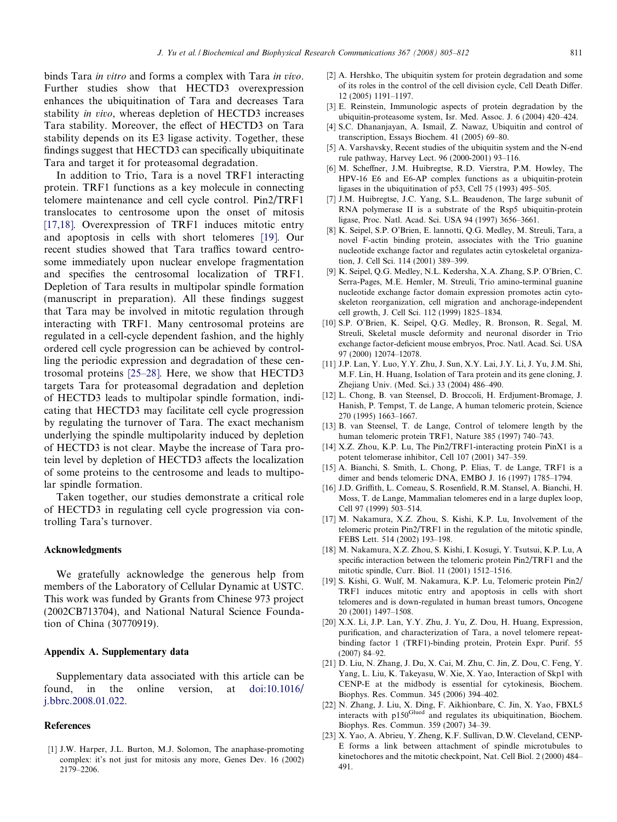<span id="page-6-0"></span>binds Tara in vitro and forms a complex with Tara in vivo. Further studies show that HECTD3 overexpression enhances the ubiquitination of Tara and decreases Tara stability in vivo, whereas depletion of HECTD3 increases Tara stability. Moreover, the effect of HECTD3 on Tara stability depends on its E3 ligase activity. Together, these findings suggest that HECTD3 can specifically ubiquitinate Tara and target it for proteasomal degradation.

In addition to Trio, Tara is a novel TRF1 interacting protein. TRF1 functions as a key molecule in connecting telomere maintenance and cell cycle control. Pin2/TRF1 translocates to centrosome upon the onset of mitosis [17,18]. Overexpression of TRF1 induces mitotic entry and apoptosis in cells with short telomeres [19]. Our recent studies showed that Tara traffics toward centrosome immediately upon nuclear envelope fragmentation and specifies the centrosomal localization of TRF1. Depletion of Tara results in multipolar spindle formation (manuscript in preparation). All these findings suggest that Tara may be involved in mitotic regulation through interacting with TRF1. Many centrosomal proteins are regulated in a cell-cycle dependent fashion, and the highly ordered cell cycle progression can be achieved by controlling the periodic expression and degradation of these centrosomal proteins [\[25–28\].](#page-7-0) Here, we show that HECTD3 targets Tara for proteasomal degradation and depletion of HECTD3 leads to multipolar spindle formation, indicating that HECTD3 may facilitate cell cycle progression by regulating the turnover of Tara. The exact mechanism underlying the spindle multipolarity induced by depletion of HECTD3 is not clear. Maybe the increase of Tara protein level by depletion of HECTD3 affects the localization of some proteins to the centrosome and leads to multipolar spindle formation.

Taken together, our studies demonstrate a critical role of HECTD3 in regulating cell cycle progression via controlling Tara's turnover.

## Acknowledgments

We gratefully acknowledge the generous help from members of the Laboratory of Cellular Dynamic at USTC. This work was funded by Grants from Chinese 973 project (2002CB713704), and National Natural Science Foundation of China (30770919).

# Appendix A. Supplementary data

Supplementary data associated with this article can be found, in the online version, at [doi:10.1016/](http://dx.doi.org/10.1016/j.bbrc.2008.01.022) [j.bbrc.2008.01.022](http://dx.doi.org/10.1016/j.bbrc.2008.01.022).

#### References

[1] J.W. Harper, J.L. Burton, M.J. Solomon, The anaphase-promoting complex: it's not just for mitosis any more, Genes Dev. 16 (2002) 2179–2206.

- [2] A. Hershko, The ubiquitin system for protein degradation and some of its roles in the control of the cell division cycle, Cell Death Differ. 12 (2005) 1191–1197.
- [3] E. Reinstein, Immunologic aspects of protein degradation by the ubiquitin-proteasome system, Isr. Med. Assoc. J. 6 (2004) 420–424.
- [4] S.C. Dhananjayan, A. Ismail, Z. Nawaz, Ubiquitin and control of transcription, Essays Biochem. 41 (2005) 69–80.
- [5] A. Varshavsky, Recent studies of the ubiquitin system and the N-end rule pathway, Harvey Lect. 96 (2000-2001) 93–116.
- [6] M. Scheffner, J.M. Huibregtse, R.D. Vierstra, P.M. Howley, The HPV-16 E6 and E6-AP complex functions as a ubiquitin-protein ligases in the ubiquitination of p53, Cell 75 (1993) 495–505.
- [7] J.M. Huibregtse, J.C. Yang, S.L. Beaudenon, The large subunit of RNA polymerase II is a substrate of the Rsp5 ubiquitin-protein ligase, Proc. Natl. Acad. Sci. USA 94 (1997) 3656–3661.
- [8] K. Seipel, S.P. O'Brien, E. lannotti, Q.G. Medley, M. Streuli, Tara, a novel F-actin binding protein, associates with the Trio guanine nucleotide exchange factor and regulates actin cytoskeletal organization, J. Cell Sci. 114 (2001) 389–399.
- [9] K. Seipel, Q.G. Medley, N.L. Kedersha, X.A. Zhang, S.P. O'Brien, C. Serra-Pages, M.E. Hemler, M. Streuli, Trio amino-terminal guanine nucleotide exchange factor domain expression promotes actin cytoskeleton reorganization, cell migration and anchorage-independent cell growth, J. Cell Sci. 112 (1999) 1825–1834.
- [10] S.P. O'Brien, K. Seipel, Q.G. Medley, R. Bronson, R. Segal, M. Streuli, Skeletal muscle deformity and neuronal disorder in Trio exchange factor-deficient mouse embryos, Proc. Natl. Acad. Sci. USA 97 (2000) 12074–12078.
- [11] J.P. Lan, Y. Luo, Y.Y. Zhu, J. Sun, X.Y. Lai, J.Y. Li, J. Yu, J.M. Shi, M.F. Lin, H. Huang, Isolation of Tara protein and its gene cloning, J. Zhejiang Univ. (Med. Sci.) 33 (2004) 486–490.
- [12] L. Chong, B. van Steensel, D. Broccoli, H. Erdjument-Bromage, J. Hanish, P. Tempst, T. de Lange, A human telomeric protein, Science 270 (1995) 1663–1667.
- [13] B. van Steensel, T. de Lange, Control of telomere length by the human telomeric protein TRF1, Nature 385 (1997) 740–743.
- [14] X.Z. Zhou, K.P. Lu, The Pin2/TRF1-interacting protein PinX1 is a potent telomerase inhibitor, Cell 107 (2001) 347–359.
- [15] A. Bianchi, S. Smith, L. Chong, P. Elias, T. de Lange, TRF1 is a dimer and bends telomeric DNA, EMBO J. 16 (1997) 1785–1794.
- [16] J.D. Griffith, L. Comeau, S. Rosenfield, R.M. Stansel, A. Bianchi, H. Moss, T. de Lange, Mammalian telomeres end in a large duplex loop, Cell 97 (1999) 503–514.
- [17] M. Nakamura, X.Z. Zhou, S. Kishi, K.P. Lu, Involvement of the telomeric protein Pin2/TRF1 in the regulation of the mitotic spindle, FEBS Lett. 514 (2002) 193–198.
- [18] M. Nakamura, X.Z. Zhou, S. Kishi, I. Kosugi, Y. Tsutsui, K.P. Lu, A specific interaction between the telomeric protein Pin2/TRF1 and the mitotic spindle, Curr. Biol. 11 (2001) 1512–1516.
- [19] S. Kishi, G. Wulf, M. Nakamura, K.P. Lu, Telomeric protein Pin2/ TRF1 induces mitotic entry and apoptosis in cells with short telomeres and is down-regulated in human breast tumors, Oncogene 20 (2001) 1497–1508.
- [20] X.X. Li, J.P. Lan, Y.Y. Zhu, J. Yu, Z. Dou, H. Huang, Expression, purification, and characterization of Tara, a novel telomere repeatbinding factor 1 (TRF1)-binding protein, Protein Expr. Purif. 55 (2007) 84–92.
- [21] D. Liu, N. Zhang, J. Du, X. Cai, M. Zhu, C. Jin, Z. Dou, C. Feng, Y. Yang, L. Liu, K. Takeyasu, W. Xie, X. Yao, Interaction of Skp1 with CENP-E at the midbody is essential for cytokinesis, Biochem. Biophys. Res. Commun. 345 (2006) 394–402.
- [22] N. Zhang, J. Liu, X. Ding, F. Aikhionbare, C. Jin, X. Yao, FBXL5 interacts with p150<sup>Glued</sup> and regulates its ubiquitination, Biochem. Biophys. Res. Commun. 359 (2007) 34–39.
- [23] X. Yao, A. Abrieu, Y. Zheng, K.F. Sullivan, D.W. Cleveland, CENP-E forms a link between attachment of spindle microtubules to kinetochores and the mitotic checkpoint, Nat. Cell Biol. 2 (2000) 484– 491.